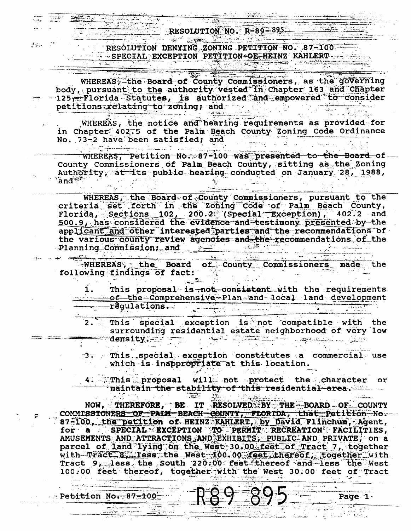RESOLUTION DENYING ZONING PETITION NO. 87-100-- SPECIAL-EXCEPTION PETITION-OE-HEINZ KAHLERT-

WHEREAS, the Board of County Commissioners, as the governing body, pursuant to the authority vested in Chapter 163 and Chapter 125 - Florida Statutes, is authorized and empowered to consider petitions relating to zoning; and

WHEREAS, the notice and hearing requirements as provided for in Chapter 402.5 of the Palm Beach County Zoning Code Ordinance No. 73-2 have been satisfied; and الأرب للمحالة المتكسونينية ومحك

WHEREAS, Petition No. 87-100 was presented to the Board of County Commissioners of Palm Beach County, sitting as the Zoning Authority, at its public hearing conducted on January 28, 1988,  $% \mathbb{Z} \rightarrow \mathbb{Z}$  and  $\mathbb{Z}$ 

WHEREAS, the Board of County Commissioners, pursuant to the criteria set forth in the Zoning Code of Palm Beach County, Florida, Sections 102, 200.2<sup>2</sup> (Special Exception), 402.2 and 500.9, has considered the evidence and testimony presented by the applicant and other interested parties and the recommendations of the various county review agencies and the recommendations of the -Planning Commission; and Planning

WHEREAS, the Board of County Commissioners made the following findings of fact:

المتعاربين

**The Sec** 

This proposal is not consistent with the requirements of the Comprehensive Plan and local land development 1. requlations.

This special exception is not compatible with the surrounding residential estate neighborhood of very low Spille of Statement in Li density. وزرروقهم البابا للمتنصف

This special exception constitutes a commercial use "3∵ ∴ which is inappropriate at this location.

4. This proposal will not protect the character maintain the stability of this residential area.

NOW, THEREFORE, BE IT RESOLVED BY THE BOARD OF COUNTY COMMISSIONERS OF PAIM BEACH COUNTY, FLORIDA, that Petition No. 87-100. the petition of HEINZ KAHLERT, by David Flinchum, Agent, for a SPECIAL EXCEPTION TO PERMIT RECREATION FACILITIES, AMUSEMENTS AND ATTRACTIONS AND EXHIBITS, PUBLIC AND PRIVATE, on a parcel of land lying on the West 30.00 feet of Tract 7, together with Tract 8, less the West 100.00 feet thereof, together with<br>Tract 9, less the South 220.00 feet thereof and less the West 100.00 feet thereof, together with the West 30.00 feet of Tract

Page 1

**Detition No. 87-100** 

سائرة فو